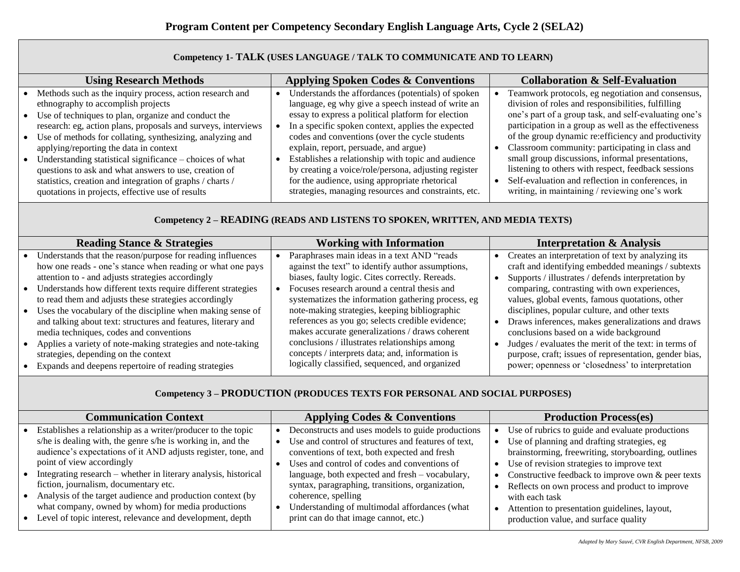| Competency 1- TALK (USES LANGUAGE / TALK TO COMMUNICATE AND TO LEARN)                                                                                                                                                                                                                                                                                                                                                                                                                                                                                                       |                                                                                                                                                                                                                                                                                                                                                                                                                                                                                                                                          |                                                                                                                                                                                                                                                                                                                                                                                                                                                                                                                                                        |  |
|-----------------------------------------------------------------------------------------------------------------------------------------------------------------------------------------------------------------------------------------------------------------------------------------------------------------------------------------------------------------------------------------------------------------------------------------------------------------------------------------------------------------------------------------------------------------------------|------------------------------------------------------------------------------------------------------------------------------------------------------------------------------------------------------------------------------------------------------------------------------------------------------------------------------------------------------------------------------------------------------------------------------------------------------------------------------------------------------------------------------------------|--------------------------------------------------------------------------------------------------------------------------------------------------------------------------------------------------------------------------------------------------------------------------------------------------------------------------------------------------------------------------------------------------------------------------------------------------------------------------------------------------------------------------------------------------------|--|
| <b>Using Research Methods</b>                                                                                                                                                                                                                                                                                                                                                                                                                                                                                                                                               | <b>Applying Spoken Codes &amp; Conventions</b>                                                                                                                                                                                                                                                                                                                                                                                                                                                                                           | <b>Collaboration &amp; Self-Evaluation</b>                                                                                                                                                                                                                                                                                                                                                                                                                                                                                                             |  |
| Methods such as the inquiry process, action research and<br>ethnography to accomplish projects<br>• Use of techniques to plan, organize and conduct the<br>research: eg, action plans, proposals and surveys, interviews<br>• Use of methods for collating, synthesizing, analyzing and<br>applying/reporting the data in context<br>• Understanding statistical significance $-$ choices of what<br>questions to ask and what answers to use, creation of<br>statistics, creation and integration of graphs / charts /<br>quotations in projects, effective use of results | Understands the affordances (potentials) of spoken<br>language, eg why give a speech instead of write an<br>essay to express a political platform for election<br>In a specific spoken context, applies the expected<br>codes and conventions (over the cycle students)<br>explain, report, persuade, and argue)<br>Establishes a relationship with topic and audience<br>by creating a voice/role/persona, adjusting register<br>for the audience, using appropriate rhetorical<br>strategies, managing resources and constraints, etc. | Teamwork protocols, eg negotiation and consensus,<br>division of roles and responsibilities, fulfilling<br>one's part of a group task, and self-evaluating one's<br>participation in a group as well as the effectiveness<br>of the group dynamic re: efficiency and productivity<br>Classroom community: participating in class and<br>small group discussions, informal presentations,<br>listening to others with respect, feedback sessions<br>Self-evaluation and reflection in conferences, in<br>writing, in maintaining / reviewing one's work |  |

## **Competency 1- TALK (USES LANGUAGE / TALK TO COMMUNICATE AND TO LEARN)**

## **Competency 2 – READING (READS AND LISTENS TO SPOKEN, WRITTEN, AND MEDIA TEXTS)**

| <b>Reading Stance &amp; Strategies</b><br><b>Working with Information</b><br>Paraphrases main ideas in a text AND "reads<br>Understands that the reason/purpose for reading influences                                                                                                                                                                                                                                                                                                                                                                                                                                                                                                                                                                                                                                                                                                                                                                                                                                                                                                                        | <b>Interpretation &amp; Analysis</b><br>Creates an interpretation of text by analyzing its                                                                                                                                                                                                                                                                                                                                                                                                                                          |
|---------------------------------------------------------------------------------------------------------------------------------------------------------------------------------------------------------------------------------------------------------------------------------------------------------------------------------------------------------------------------------------------------------------------------------------------------------------------------------------------------------------------------------------------------------------------------------------------------------------------------------------------------------------------------------------------------------------------------------------------------------------------------------------------------------------------------------------------------------------------------------------------------------------------------------------------------------------------------------------------------------------------------------------------------------------------------------------------------------------|-------------------------------------------------------------------------------------------------------------------------------------------------------------------------------------------------------------------------------------------------------------------------------------------------------------------------------------------------------------------------------------------------------------------------------------------------------------------------------------------------------------------------------------|
| against the text" to identify author assumptions,<br>how one reads - one's stance when reading or what one pays<br>attention to - and adjusts strategies accordingly<br>biases, faulty logic. Cites correctly. Rereads.<br>Understands how different texts require different strategies<br>Focuses research around a central thesis and<br>to read them and adjusts these strategies accordingly<br>systematizes the information gathering process, eg<br>note-making strategies, keeping bibliographic<br>Uses the vocabulary of the discipline when making sense of<br>references as you go; selects credible evidence;<br>and talking about text: structures and features, literary and<br>makes accurate generalizations / draws coherent<br>media techniques, codes and conventions<br>conclusions / illustrates relationships among<br>Applies a variety of note-making strategies and note-taking<br>concepts / interprets data; and, information is<br>strategies, depending on the context<br>logically classified, sequenced, and organized<br>Expands and deepens repertoire of reading strategies | craft and identifying embedded meanings / subtexts<br>Supports / illustrates / defends interpretation by<br>comparing, contrasting with own experiences,<br>values, global events, famous quotations, other<br>disciplines, popular culture, and other texts<br>Draws inferences, makes generalizations and draws<br>conclusions based on a wide background<br>Judges / evaluates the merit of the text: in terms of<br>purpose, craft; issues of representation, gender bias,<br>power; openness or 'closedness' to interpretation |

## **Competency 3 – PRODUCTION (PRODUCES TEXTS FOR PERSONAL AND SOCIAL PURPOSES)**

| <b>Communication Context</b>                                    | <b>Applying Codes &amp; Conventions</b>             | <b>Production Process(es)</b>                                  |
|-----------------------------------------------------------------|-----------------------------------------------------|----------------------------------------------------------------|
| Establishes a relationship as a writer/producer to the topic    | Deconstructs and uses models to guide productions   | Use of rubrics to guide and evaluate productions               |
| s/he is dealing with, the genre s/he is working in, and the     | Use and control of structures and features of text, | Use of planning and drafting strategies, eg                    |
| audience's expectations of it AND adjusts register, tone, and   | conventions of text, both expected and fresh        | brainstorming, freewriting, storyboarding, outlines            |
| point of view accordingly                                       | Uses and control of codes and conventions of        | • Use of revision strategies to improve text                   |
| Integrating research – whether in literary analysis, historical | language, both expected and fresh - vocabulary,     | Constructive feedback to improve own & peer texts<br>$\bullet$ |
| fiction, journalism, documentary etc.                           | syntax, paragraphing, transitions, organization,    | Reflects on own process and product to improve                 |
| Analysis of the target audience and production context (by      | coherence, spelling                                 | with each task                                                 |
| what company, owned by whom) for media productions              | Understanding of multimodal affordances (what       | Attention to presentation guidelines, layout,                  |
| Level of topic interest, relevance and development, depth       | print can do that image cannot, etc.)               | production value, and surface quality                          |